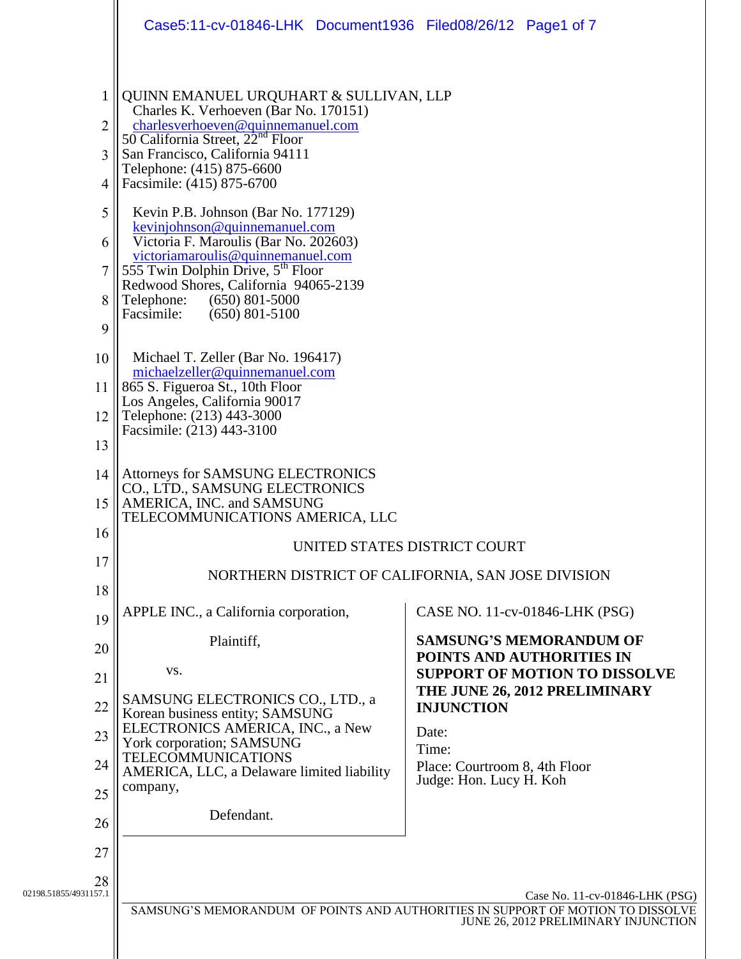|                       | Case5:11-cv-01846-LHK Document1936 Filed08/26/12 Page1 of 7                                                                                               |                                                             |
|-----------------------|-----------------------------------------------------------------------------------------------------------------------------------------------------------|-------------------------------------------------------------|
|                       |                                                                                                                                                           |                                                             |
| 1                     | QUINN EMANUEL URQUHART & SULLIVAN, LLP<br>Charles K. Verhoeven (Bar No. 170151)                                                                           |                                                             |
| $\overline{2}$        | charlesverhoeven@quinnemanuel.com<br>50 California Street, $22nd$ Floor                                                                                   |                                                             |
| 3 <sup>1</sup>        | San Francisco, California 94111<br>Telephone: (415) 875-6600                                                                                              |                                                             |
| 4                     | Facsimile: (415) 875-6700                                                                                                                                 |                                                             |
| 5                     | Kevin P.B. Johnson (Bar No. 177129)                                                                                                                       |                                                             |
| 6                     | kevinjohnson@quinnemanuel.com<br>Victoria F. Maroulis (Bar No. 202603)                                                                                    |                                                             |
|                       | victoriamaroulis@quinnemanuel.com<br>555 Twin Dolphin Drive, $\overline{5}^{\text{th}}$ Floor                                                             |                                                             |
| 8 <sup>1</sup>        | Redwood Shores, California 94065-2139<br>Telephone:<br>$(650)$ 801-5000                                                                                   |                                                             |
| 9                     | Facsimile:<br>$(650)$ 801-5100                                                                                                                            |                                                             |
| 10                    | Michael T. Zeller (Bar No. 196417)                                                                                                                        |                                                             |
| 11                    | michaelzeller@quinnemanuel.com<br>865 S. Figueroa St., 10th Floor                                                                                         |                                                             |
| 12                    | Los Angeles, California 90017<br>Telephone: (213) 443-3000                                                                                                |                                                             |
| 13                    | Facsimile: (213) 443-3100                                                                                                                                 |                                                             |
| 14                    | Attorneys for SAMSUNG ELECTRONICS                                                                                                                         |                                                             |
| 15                    | CO., LTD., SAMSUNG ELECTRONICS<br>AMERICA, INC. and SAMSUNG<br>TELECOMMUNICATIONS AMERICA, LLC                                                            |                                                             |
| 16                    | UNITED STATES DISTRICT COURT                                                                                                                              |                                                             |
| 17                    | NORTHERN DISTRICT OF CALIFORNIA, SAN JOSE DIVISION                                                                                                        |                                                             |
| 18                    |                                                                                                                                                           |                                                             |
| 19                    | APPLE INC., a California corporation,                                                                                                                     | CASE NO. 11-cv-01846-LHK (PSG)                              |
| 20                    | Plaintiff,                                                                                                                                                | <b>SAMSUNG'S MEMORANDUM OF</b><br>POINTS AND AUTHORITIES IN |
| 21                    | VS.                                                                                                                                                       | <b>SUPPORT OF MOTION TO DISSOLVE</b>                        |
| 22                    | SAMSUNG ELECTRONICS CO., LTD., a<br>Korean business entity; SAMSUNG                                                                                       | THE JUNE 26, 2012 PRELIMINARY<br><b>INJUNCTION</b>          |
| 23                    | ELECTRONICS AMERICA, INC., a New<br>York corporation; SAMSUNG                                                                                             | Date:                                                       |
| 24                    | <b>TELECOMMUNICATIONS</b><br>AMERICA, LLC, a Delaware limited liability                                                                                   | Time:<br>Place: Courtroom 8, 4th Floor                      |
| 25                    | company,                                                                                                                                                  | Judge: Hon. Lucy H. Koh                                     |
| 26                    | Defendant.                                                                                                                                                |                                                             |
| 27                    |                                                                                                                                                           |                                                             |
| 28                    |                                                                                                                                                           |                                                             |
| 02198.51855/4931157.1 | Case No. 11-cv-01846-LHK (PSG)<br>SAMSUNG'S MEMORANDUM OF POINTS AND AUTHORITIES IN SUPPORT OF MOTION TO DISSOLVE<br>JUNE 26, 2012 PRELIMINARY INJUNCTION |                                                             |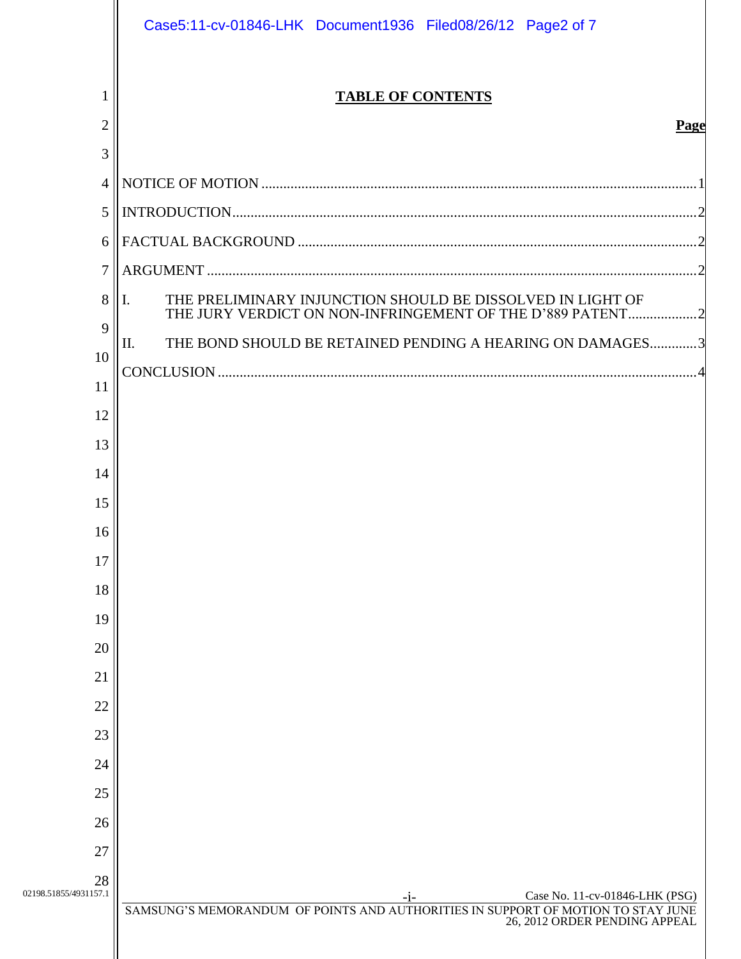|                             | Case5:11-cv-01846-LHK Document1936 Filed08/26/12 Page2 of 7                                                                                         |
|-----------------------------|-----------------------------------------------------------------------------------------------------------------------------------------------------|
| 1<br>$\overline{2}$         | <b>TABLE OF CONTENTS</b>                                                                                                                            |
| 3                           | Page                                                                                                                                                |
| 4                           |                                                                                                                                                     |
| 5                           |                                                                                                                                                     |
| 6                           |                                                                                                                                                     |
| 7                           |                                                                                                                                                     |
| 8                           | THE PRELIMINARY INJUNCTION SHOULD BE DISSOLVED IN LIGHT OF<br>$\mathbf{I}$ .                                                                        |
| 9                           | THE JURY VERDICT ON NON-INFRINGEMENT OF THE D'889 PATENT2                                                                                           |
| 10                          | THE BOND SHOULD BE RETAINED PENDING A HEARING ON DAMAGES3<br>II.                                                                                    |
| 11                          |                                                                                                                                                     |
| 12                          |                                                                                                                                                     |
| 13                          |                                                                                                                                                     |
| 14                          |                                                                                                                                                     |
| 15                          |                                                                                                                                                     |
| 16                          |                                                                                                                                                     |
| 17                          |                                                                                                                                                     |
| 18                          |                                                                                                                                                     |
| 19                          |                                                                                                                                                     |
| 20                          |                                                                                                                                                     |
| 21                          |                                                                                                                                                     |
| 22                          |                                                                                                                                                     |
| 23                          |                                                                                                                                                     |
| 24                          |                                                                                                                                                     |
| 25                          |                                                                                                                                                     |
| 26                          |                                                                                                                                                     |
| 27                          |                                                                                                                                                     |
| 28<br>02198.51855/4931157.1 | Case No. 11-cv-01846-LHK (PSG)<br>SAMSUNG'S MEMORANDUM OF POINTS AND AUTHORITIES IN SUPPORT OF MOTION TO STAY JUNE<br>26, 2012 ORDER PENDING APPEAL |
|                             |                                                                                                                                                     |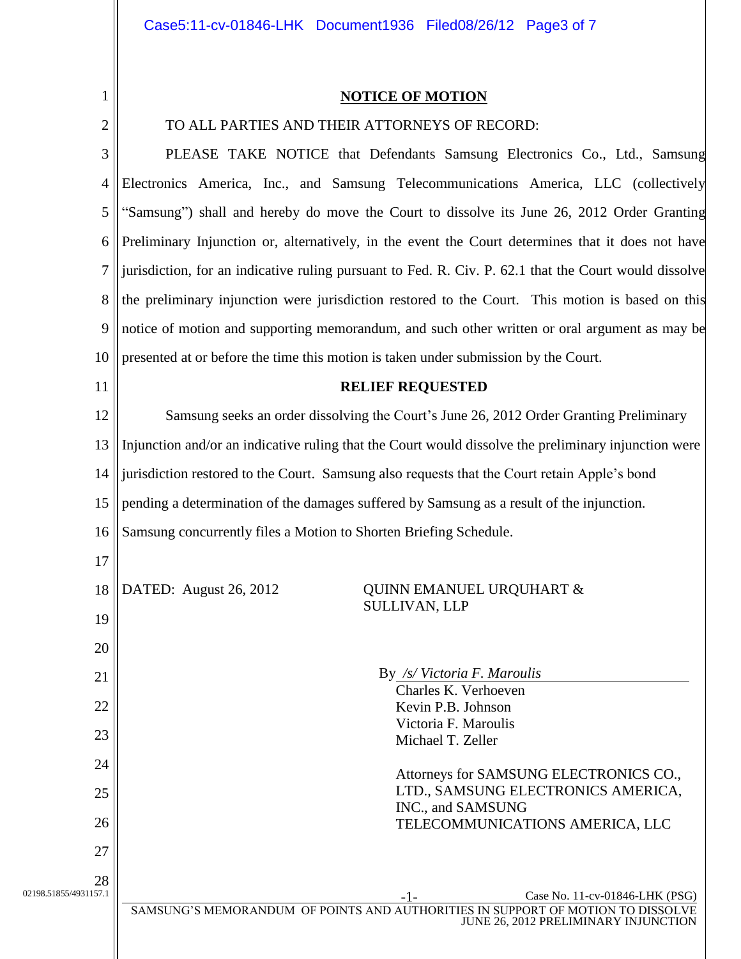**NOTICE OF MOTION**

20

21

22

23

24

25

26

27

28

TO ALL PARTIES AND THEIR ATTORNEYS OF RECORD:

3 4 5 6 7 8 9 10 11 12 13 14 15 16 17 18 19 PLEASE TAKE NOTICE that Defendants Samsung Electronics Co., Ltd., Samsung Electronics America, Inc., and Samsung Telecommunications America, LLC (collectively "Samsung") shall and hereby do move the Court to dissolve its June 26, 2012 Order Granting Preliminary Injunction or, alternatively, in the event the Court determines that it does not have jurisdiction, for an indicative ruling pursuant to Fed. R. Civ. P. 62.1 that the Court would dissolve the preliminary injunction were jurisdiction restored to the Court. This motion is based on this notice of motion and supporting memorandum, and such other written or oral argument as may be presented at or before the time this motion is taken under submission by the Court. **RELIEF REQUESTED**  Samsung seeks an order dissolving the Court"s June 26, 2012 Order Granting Preliminary Injunction and/or an indicative ruling that the Court would dissolve the preliminary injunction were jurisdiction restored to the Court. Samsung also requests that the Court retain Apple"s bond pending a determination of the damages suffered by Samsung as a result of the injunction. Samsung concurrently files a Motion to Shorten Briefing Schedule. DATED: August 26, 2012 QUINN EMANUEL URQUHART & SULLIVAN, LLP

> By */s/ Victoria F. Maroulis* Charles K. Verhoeven Kevin P.B. Johnson Victoria F. Maroulis Michael T. Zeller

> > Attorneys for SAMSUNG ELECTRONICS CO., LTD., SAMSUNG ELECTRONICS AMERICA, INC., and SAMSUNG TELECOMMUNICATIONS AMERICA, LLC

02198.51855/4931157.1 Case No. 11-cv-01846-LHK (PSG) SAMSUNG"S MEMORANDUM OF POINTS AND AUTHORITIES IN SUPPORT OF MOTION TO DISSOLVE JUNE 26, 2012 PRELIMINARY INJUNCTION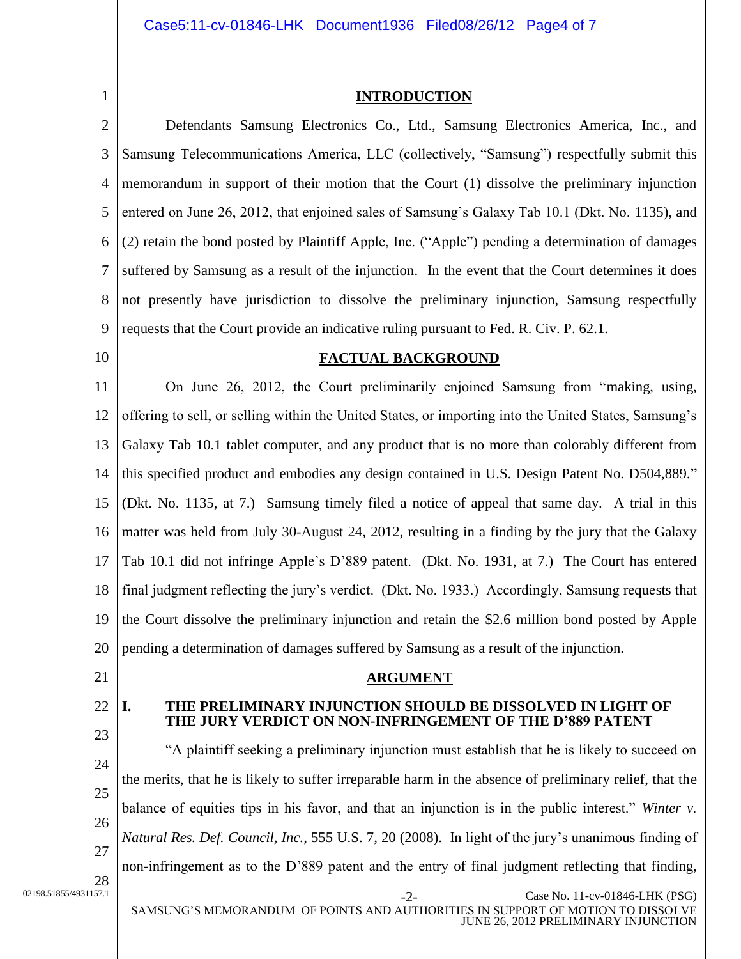1

### **INTRODUCTION**

2 3 4 5 6 7 8 9 Defendants Samsung Electronics Co., Ltd., Samsung Electronics America, Inc., and Samsung Telecommunications America, LLC (collectively, "Samsung") respectfully submit this memorandum in support of their motion that the Court (1) dissolve the preliminary injunction entered on June 26, 2012, that enjoined sales of Samsung's Galaxy Tab 10.1 (Dkt. No. 1135), and (2) retain the bond posted by Plaintiff Apple, Inc. ("Apple") pending a determination of damages suffered by Samsung as a result of the injunction. In the event that the Court determines it does not presently have jurisdiction to dissolve the preliminary injunction, Samsung respectfully requests that the Court provide an indicative ruling pursuant to Fed. R. Civ. P. 62.1.

10

#### **FACTUAL BACKGROUND**

11 12 13 14 15 16 17 18 19 20 On June 26, 2012, the Court preliminarily enjoined Samsung from "making, using, offering to sell, or selling within the United States, or importing into the United States, Samsung"s Galaxy Tab 10.1 tablet computer, and any product that is no more than colorably different from this specified product and embodies any design contained in U.S. Design Patent No. D504,889." (Dkt. No. 1135, at 7.) Samsung timely filed a notice of appeal that same day. A trial in this matter was held from July 30-August 24, 2012, resulting in a finding by the jury that the Galaxy Tab 10.1 did not infringe Apple"s D"889 patent. (Dkt. No. 1931, at 7.) The Court has entered final judgment reflecting the jury"s verdict. (Dkt. No. 1933.) Accordingly, Samsung requests that the Court dissolve the preliminary injunction and retain the \$2.6 million bond posted by Apple pending a determination of damages suffered by Samsung as a result of the injunction.

- 21
- 22

23

# **ARGUMENT**

#### **I. THE PRELIMINARY INJUNCTION SHOULD BE DISSOLVED IN LIGHT OF THE JURY VERDICT ON NON-INFRINGEMENT OF THE D'889 PATENT**

24 25 26 27 28 "A plaintiff seeking a preliminary injunction must establish that he is likely to succeed on the merits, that he is likely to suffer irreparable harm in the absence of preliminary relief, that the balance of equities tips in his favor, and that an injunction is in the public interest." *Winter v. Natural Res. Def. Council, Inc.*, 555 U.S. 7, 20 (2008). In light of the jury"s unanimous finding of non-infringement as to the D"889 patent and the entry of final judgment reflecting that finding,

02198.51855/4931157.1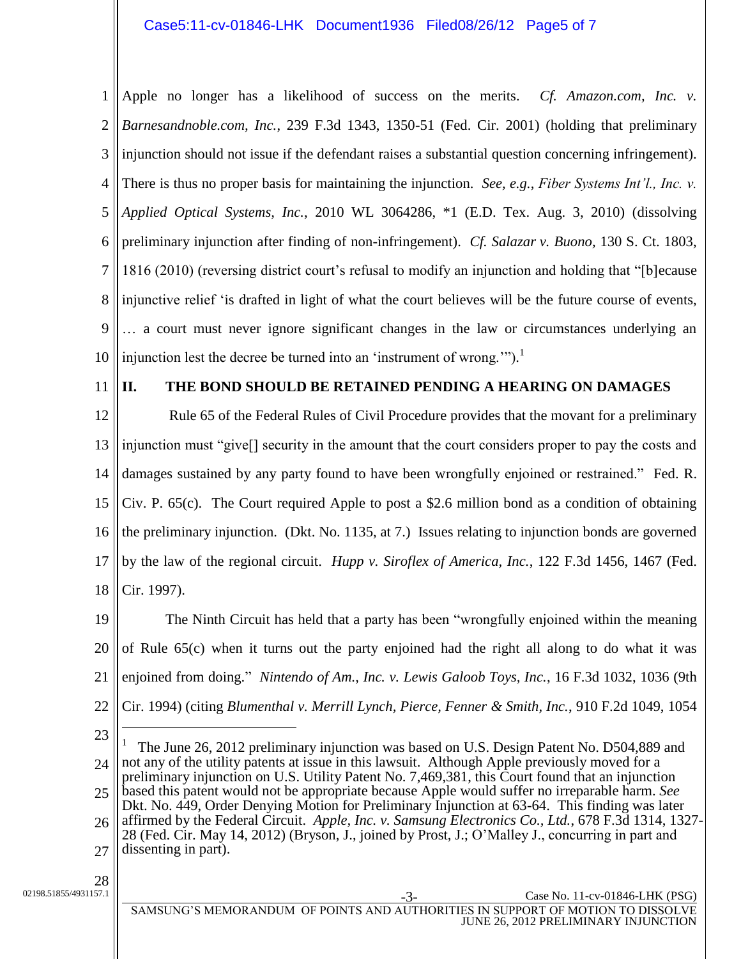## Case5:11-cv-01846-LHK Document1936 Filed08/26/12 Page5 of 7

1 2 3 4 5 6 7 8 9 10 Apple no longer has a likelihood of success on the merits. *Cf. Amazon.com, Inc. v. Barnesandnoble.com, Inc.*, 239 F.3d 1343, 1350-51 (Fed. Cir. 2001) (holding that preliminary injunction should not issue if the defendant raises a substantial question concerning infringement). There is thus no proper basis for maintaining the injunction. *See, e.g.*, *Fiber Systems Int'l., Inc. v. Applied Optical Systems, Inc.*, 2010 WL 3064286, \*1 (E.D. Tex. Aug. 3, 2010) (dissolving preliminary injunction after finding of non-infringement). *Cf. Salazar v. Buono,* 130 S. Ct. 1803, 1816 (2010) (reversing district court"s refusal to modify an injunction and holding that "[b]ecause injunctive relief "is drafted in light of what the court believes will be the future course of events, … a court must never ignore significant changes in the law or circumstances underlying an injunction lest the decree be turned into an 'instrument of wrong."").<sup>1</sup>

11

## **II. THE BOND SHOULD BE RETAINED PENDING A HEARING ON DAMAGES**

12 13 14 15 16 17 18 Rule 65 of the Federal Rules of Civil Procedure provides that the movant for a preliminary injunction must "give[] security in the amount that the court considers proper to pay the costs and damages sustained by any party found to have been wrongfully enjoined or restrained." Fed. R. Civ. P. 65(c). The Court required Apple to post a \$2.6 million bond as a condition of obtaining the preliminary injunction. (Dkt. No. 1135, at 7.) Issues relating to injunction bonds are governed by the law of the regional circuit. *Hupp v. Siroflex of America, Inc.*, 122 F.3d 1456, 1467 (Fed. Cir. 1997).

19 20 21 22 The Ninth Circuit has held that a party has been "wrongfully enjoined within the meaning of Rule 65(c) when it turns out the party enjoined had the right all along to do what it was enjoined from doing." *Nintendo of Am., Inc. v. Lewis Galoob Toys, Inc.*, 16 F.3d 1032, 1036 (9th Cir. 1994) (citing *Blumenthal v. Merrill Lynch, Pierce, Fenner & Smith, Inc.*, 910 F.2d 1049, 1054

23

 $\overline{a}$ 

28 02198.51855/4931157.1

<sup>24</sup> 1 The June 26, 2012 preliminary injunction was based on U.S. Design Patent No. D504,889 and not any of the utility patents at issue in this lawsuit. Although Apple previously moved for a preliminary injunction on U.S. Utility Patent No. 7,469,381, this Court found that an injunction

<sup>25</sup> based this patent would not be appropriate because Apple would suffer no irreparable harm. *See* Dkt. No. 449, Order Denying Motion for Preliminary Injunction at 63-64. This finding was later

<sup>26</sup> 27 affirmed by the Federal Circuit. *Apple, Inc. v. Samsung Electronics Co., Ltd.*, 678 F.3d 1314, 1327- 28 (Fed. Cir. May 14, 2012) (Bryson, J., joined by Prost, J.; O"Malley J., concurring in part and dissenting in part).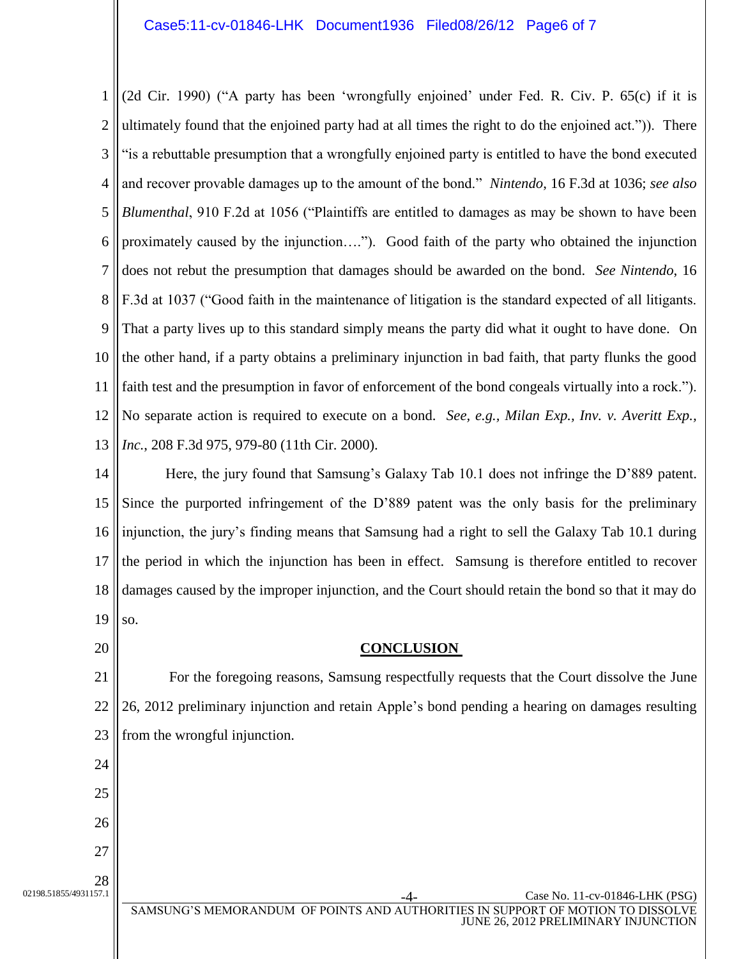1 2 3 4 5 6 7 8 9 10 11 12 13 (2d Cir. 1990) ("A party has been "wrongfully enjoined" under Fed. R. Civ. P. 65(c) if it is ultimately found that the enjoined party had at all times the right to do the enjoined act.")). There "is a rebuttable presumption that a wrongfully enjoined party is entitled to have the bond executed and recover provable damages up to the amount of the bond." *Nintendo*, 16 F.3d at 1036; *see also Blumenthal*, 910 F.2d at 1056 ("Plaintiffs are entitled to damages as may be shown to have been proximately caused by the injunction…."). Good faith of the party who obtained the injunction does not rebut the presumption that damages should be awarded on the bond. *See Nintendo*, 16 F.3d at 1037 ("Good faith in the maintenance of litigation is the standard expected of all litigants. That a party lives up to this standard simply means the party did what it ought to have done. On the other hand, if a party obtains a preliminary injunction in bad faith, that party flunks the good faith test and the presumption in favor of enforcement of the bond congeals virtually into a rock."). No separate action is required to execute on a bond. *See, e.g., Milan Exp., Inv. v. Averitt Exp., Inc.*, 208 F.3d 975, 979-80 (11th Cir. 2000).

14 15 16 17 18 19 Here, the jury found that Samsung's Galaxy Tab 10.1 does not infringe the D'889 patent. Since the purported infringement of the D"889 patent was the only basis for the preliminary injunction, the jury"s finding means that Samsung had a right to sell the Galaxy Tab 10.1 during the period in which the injunction has been in effect. Samsung is therefore entitled to recover damages caused by the improper injunction, and the Court should retain the bond so that it may do so.

20

24

25

26

27

**CONCLUSION** 

21 22 23 For the foregoing reasons, Samsung respectfully requests that the Court dissolve the June 26, 2012 preliminary injunction and retain Apple"s bond pending a hearing on damages resulting from the wrongful injunction.

28 02198.51855/4931157.1